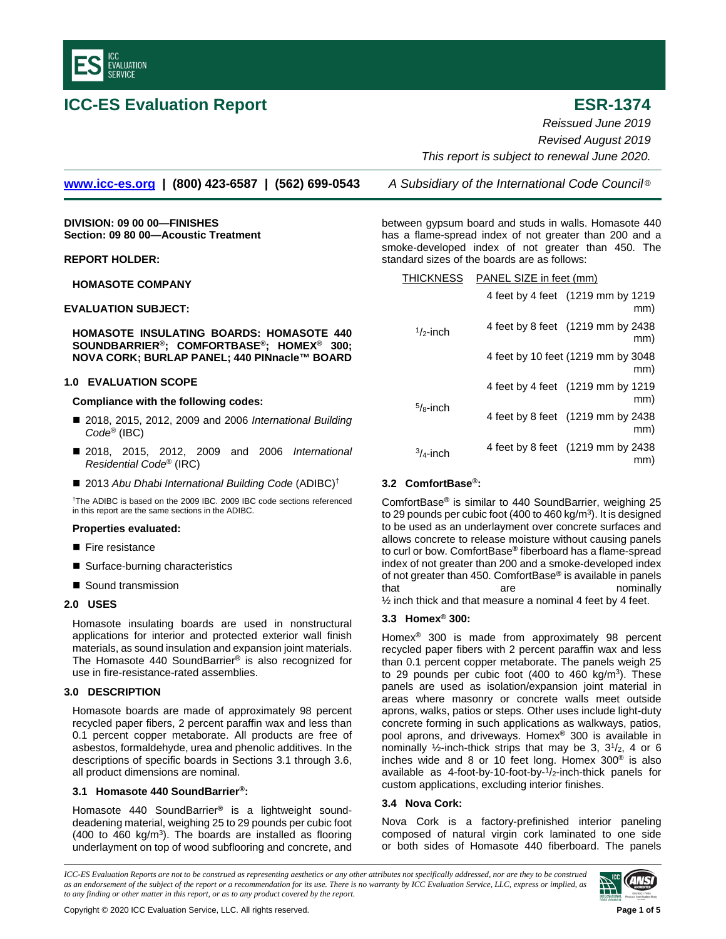

# **ICC-ES Evaluation Report ESR-1374**

*Reissued June 2019 Revised August 2019 This report is subject to renewal June 2020.*

**[www.icc-es.org](http://www.icc-es.org/) | (800) 423-6587 | (562) 699-0543** *A Subsidiary of the International Code Council* ®

**DIVISION: 09 00 00—FINISHES Section: 09 80 00—Acoustic Treatment**

## **REPORT HOLDER:**

**HOMASOTE COMPANY**

## **EVALUATION SUBJECT:**

**HOMASOTE INSULATING BOARDS: HOMASOTE 440 SOUNDBARRIER®; COMFORTBASE®; HOMEX® 300; NOVA CORK; BURLAP PANEL; 440 PINnacle™ BOARD**

## **1.0 EVALUATION SCOPE**

### **Compliance with the following codes:**

- 2018, 2015, 2012, 2009 and 2006 *International Building Code*® (IBC)
- 2018, 2015, 2012, 2009 and 2006 *International Residential Code*® (IRC)
- 2013 Abu Dhabi International Building Code (ADIBC)<sup>†</sup>

†The ADIBC is based on the 2009 IBC. 2009 IBC code sections referenced in this report are the same sections in the ADIBC.

### **Properties evaluated:**

- Fire resistance
- Surface-burning characteristics
- Sound transmission

## **2.0 USES**

Homasote insulating boards are used in nonstructural applications for interior and protected exterior wall finish materials, as sound insulation and expansion joint materials. The Homasote 440 SoundBarrier**®** is also recognized for use in fire-resistance-rated assemblies.

## **3.0 DESCRIPTION**

Homasote boards are made of approximately 98 percent recycled paper fibers, 2 percent paraffin wax and less than 0.1 percent copper metaborate. All products are free of asbestos, formaldehyde, urea and phenolic additives. In the descriptions of specific boards in Sections 3.1 through 3.6, all product dimensions are nominal.

## **3.1 Homasote 440 SoundBarrier®:**

Homasote 440 SoundBarrier**®** is a lightweight sounddeadening material, weighing 25 to 29 pounds per cubic foot (400 to 460 kg/m<sup>3</sup>). The boards are installed as flooring underlayment on top of wood subflooring and concrete, and

between gypsum board and studs in walls. Homasote 440 has a flame-spread index of not greater than 200 and a smoke-developed index of not greater than 450. The standard sizes of the boards are as follows:

| <b>THICKNESS</b> | PANEL SIZE in feet (mm) |  |
|------------------|-------------------------|--|
|                  |                         |  |

| $1/2$ -inch |                                           | 4 feet by 4 feet (1219 mm by 1219)<br>mm) |
|-------------|-------------------------------------------|-------------------------------------------|
|             | 4 feet by 8 feet (1219 mm by 2438)<br>mm) |                                           |
|             |                                           | 4 feet by 10 feet (1219 mm by 3048<br>mm) |
| $5/8$ -inch |                                           | 4 feet by 4 feet (1219 mm by 1219)<br>mm) |
|             |                                           | 4 feet by 8 feet (1219 mm by 2438<br>mm)  |
|             | $3/4$ -inch                               | 4 feet by 8 feet (1219 mm by 2438         |

## **3.2 ComfortBase®:**

ComfortBase**®** is similar to 440 SoundBarrier, weighing 25 to 29 pounds per cubic foot (400 to 460 kg/ $m<sup>3</sup>$ ). It is designed to be used as an underlayment over concrete surfaces and allows concrete to release moisture without causing panels to curl or bow. ComfortBase**®** fiberboard has a flame-spread index of not greater than 200 and a smoke-developed index of not greater than 450. ComfortBase**®** is available in panels that are are nominally ½ inch thick and that measure a nominal 4 feet by 4 feet.

# **3.3 Homex® 300:**

Homex**®** 300 is made from approximately 98 percent recycled paper fibers with 2 percent paraffin wax and less than 0.1 percent copper metaborate. The panels weigh 25 to 29 pounds per cubic foot  $(400 \text{ to } 460 \text{ kg/m}^3)$ . These panels are used as isolation/expansion joint material in areas where masonry or concrete walls meet outside aprons, walks, patios or steps. Other uses include light-duty concrete forming in such applications as walkways, patios, pool aprons, and driveways. Homex**®** 300 is available in nominally  $\frac{1}{2}$ -inch-thick strips that may be 3,  $3\frac{1}{2}$ , 4 or 6 inches wide and 8 or 10 feet long. Homex 300® is also available as 4-foot-by-10-foot-by-1/2-inch-thick panels for custom applications, excluding interior finishes.

## **3.4 Nova Cork:**

Nova Cork is a factory-prefinished interior paneling composed of natural virgin cork laminated to one side or both sides of Homasote 440 fiberboard. The panels

*ICC-ES Evaluation Reports are not to be construed as representing aesthetics or any other attributes not specifically addressed, nor are they to be construed as an endorsement of the subject of the report or a recommendation for its use. There is no warranty by ICC Evaluation Service, LLC, express or implied, as to any finding or other matter in this report, or as to any product covered by the report.*

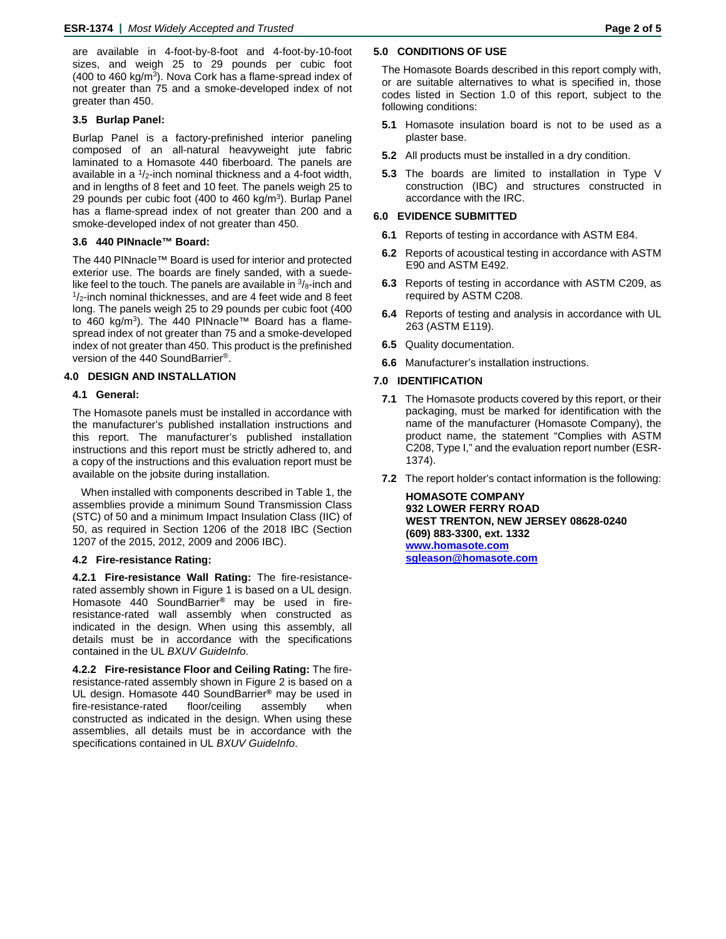are available in 4-foot-by-8-foot and 4-foot-by-10-foot sizes, and weigh 25 to 29 pounds per cubic foot (400 to 460 kg/ $m^3$ ). Nova Cork has a flame-spread index of not greater than 75 and a smoke-developed index of not greater than 450.

## **3.5 Burlap Panel:**

Burlap Panel is a factory-prefinished interior paneling composed of an all-natural heavyweight jute fabric laminated to a Homasote 440 fiberboard. The panels are available in a  $1/2$ -inch nominal thickness and a 4-foot width, and in lengths of 8 feet and 10 feet. The panels weigh 25 to 29 pounds per cubic foot (400 to 460 kg/m<sup>3</sup>). Burlap Panel has a flame-spread index of not greater than 200 and a smoke-developed index of not greater than 450.

# **3.6 440 PINnacle™ Board:**

The 440 PINnacle™ Board is used for interior and protected exterior use. The boards are finely sanded, with a suedelike feel to the touch. The panels are available in  $\frac{3}{8}$ -inch and  $\frac{1}{2}$ -inch nominal thicknesses, and are 4 feet wide and 8 feet long. The panels weigh 25 to 29 pounds per cubic foot (400 to 460 kg/m<sup>3</sup>). The 440 PINnacle™ Board has a flamespread index of not greater than 75 and a smoke-developed index of not greater than 450. This product is the prefinished version of the 440 SoundBarrier®.

## **4.0 DESIGN AND INSTALLATION**

#### **4.1 General:**

The Homasote panels must be installed in accordance with the manufacturer's published installation instructions and this report. The manufacturer's published installation instructions and this report must be strictly adhered to, and a copy of the instructions and this evaluation report must be available on the jobsite during installation.

When installed with components described in Table 1, the assemblies provide a minimum Sound Transmission Class (STC) of 50 and a minimum Impact Insulation Class (IIC) of 50, as required in Section 1206 of the 2018 IBC (Section 1207 of the 2015, 2012, 2009 and 2006 IBC).

#### **4.2 Fire-resistance Rating:**

**4.2.1 Fire-resistance Wall Rating:** The fire-resistancerated assembly shown in Figure 1 is based on a UL design. Homasote 440 SoundBarrier**®** may be used in fireresistance-rated wall assembly when constructed as indicated in the design. When using this assembly, all details must be in accordance with the specifications contained in the UL *BXUV GuideInfo*.

**4.2.2 Fire-resistance Floor and Ceiling Rating:** The fireresistance-rated assembly shown in Figure 2 is based on a UL design. Homasote 440 SoundBarrier**®** may be used in fire-resistance-rated floor/ceiling assembly when constructed as indicated in the design. When using these assemblies, all details must be in accordance with the specifications contained in UL *BXUV GuideInfo*.

#### **5.0 CONDITIONS OF USE**

The Homasote Boards described in this report comply with, or are suitable alternatives to what is specified in, those codes listed in Section 1.0 of this report, subject to the following conditions:

- **5.1** Homasote insulation board is not to be used as a plaster base.
- **5.2** All products must be installed in a dry condition.
- **5.3** The boards are limited to installation in Type V construction (IBC) and structures constructed in accordance with the IRC.

#### **6.0 EVIDENCE SUBMITTED**

- **6.1** Reports of testing in accordance with ASTM E84.
- **6.2** Reports of acoustical testing in accordance with ASTM E90 and ASTM E492.
- **6.3** Reports of testing in accordance with ASTM C209, as required by ASTM C208.
- **6.4** Reports of testing and analysis in accordance with UL 263 (ASTM E119).
- **6.5** Quality documentation.
- **6.6** Manufacturer's installation instructions.

#### **7.0 IDENTIFICATION**

- **7.1** The Homasote products covered by this report, or their packaging, must be marked for identification with the name of the manufacturer (Homasote Company), the product name, the statement "Complies with ASTM C208, Type I," and the evaluation report number (ESR-1374).
- **7.2** The report holder's contact information is the following:

**HOMASOTE COMPANY 932 LOWER FERRY ROAD WEST TRENTON, NEW JERSEY 08628-0240 (609) 883-3300, ext. 1332 [www.homasote.com](http://www.homasote.com/) [sgleason@homasote.com](mailto:sales@homasote.com)**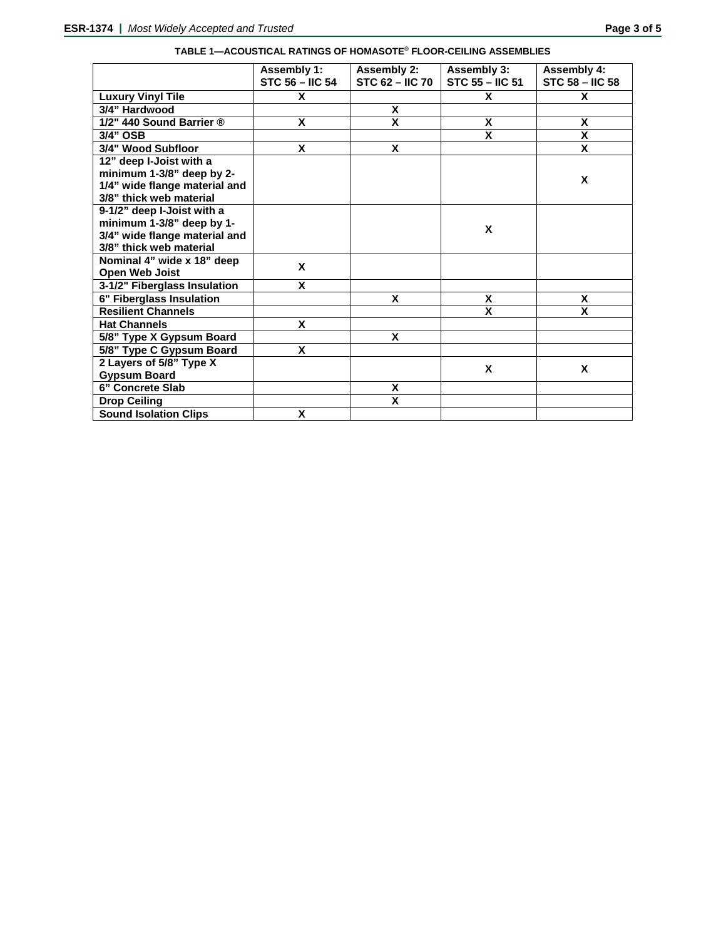|                               | <b>Assembly 1:</b><br><b>STC 56 - IIC 54</b> | <b>Assembly 2:</b><br>$STC$ 62 – IIC 70 | Assembly 3:<br><b>STC 55 - IIC 51</b> | <b>Assembly 4:</b><br><b>STC 58 - IIC 58</b> |
|-------------------------------|----------------------------------------------|-----------------------------------------|---------------------------------------|----------------------------------------------|
| <b>Luxury Vinyl Tile</b>      | X                                            |                                         | X                                     | X                                            |
| 3/4" Hardwood                 |                                              | X                                       |                                       |                                              |
| 1/2" 440 Sound Barrier ®      | X                                            | $\overline{\mathsf{x}}$                 | X                                     | X                                            |
| 3/4" OSB                      |                                              |                                         | X                                     | χ                                            |
| 3/4" Wood Subfloor            | X                                            | X                                       |                                       | X                                            |
| 12" deep I-Joist with a       |                                              |                                         |                                       |                                              |
| minimum 1-3/8" deep by 2-     |                                              |                                         |                                       | X                                            |
| 1/4" wide flange material and |                                              |                                         |                                       |                                              |
| 3/8" thick web material       |                                              |                                         |                                       |                                              |
| 9-1/2" deep I-Joist with a    |                                              |                                         |                                       |                                              |
| minimum 1-3/8" deep by 1-     |                                              |                                         | X                                     |                                              |
| 3/4" wide flange material and |                                              |                                         |                                       |                                              |
| 3/8" thick web material       |                                              |                                         |                                       |                                              |
| Nominal 4" wide x 18" deep    | X                                            |                                         |                                       |                                              |
| <b>Open Web Joist</b>         |                                              |                                         |                                       |                                              |
| 3-1/2" Fiberglass Insulation  | X                                            |                                         |                                       |                                              |
| 6" Fiberglass Insulation      |                                              | X                                       | X                                     | X                                            |
| <b>Resilient Channels</b>     |                                              |                                         | X                                     | X                                            |
| <b>Hat Channels</b>           | X                                            |                                         |                                       |                                              |
| 5/8" Type X Gypsum Board      |                                              | X                                       |                                       |                                              |
| 5/8" Type C Gypsum Board      | X                                            |                                         |                                       |                                              |
| 2 Layers of 5/8" Type X       |                                              |                                         | X                                     | X                                            |
| <b>Gypsum Board</b>           |                                              |                                         |                                       |                                              |
| 6" Concrete Slab              |                                              | X                                       |                                       |                                              |
| <b>Drop Ceiling</b>           |                                              | X                                       |                                       |                                              |
| <b>Sound Isolation Clips</b>  | X                                            |                                         |                                       |                                              |

# **TABLE 1—ACOUSTICAL RATINGS OF HOMASOTE® FLOOR-CEILING ASSEMBLIES**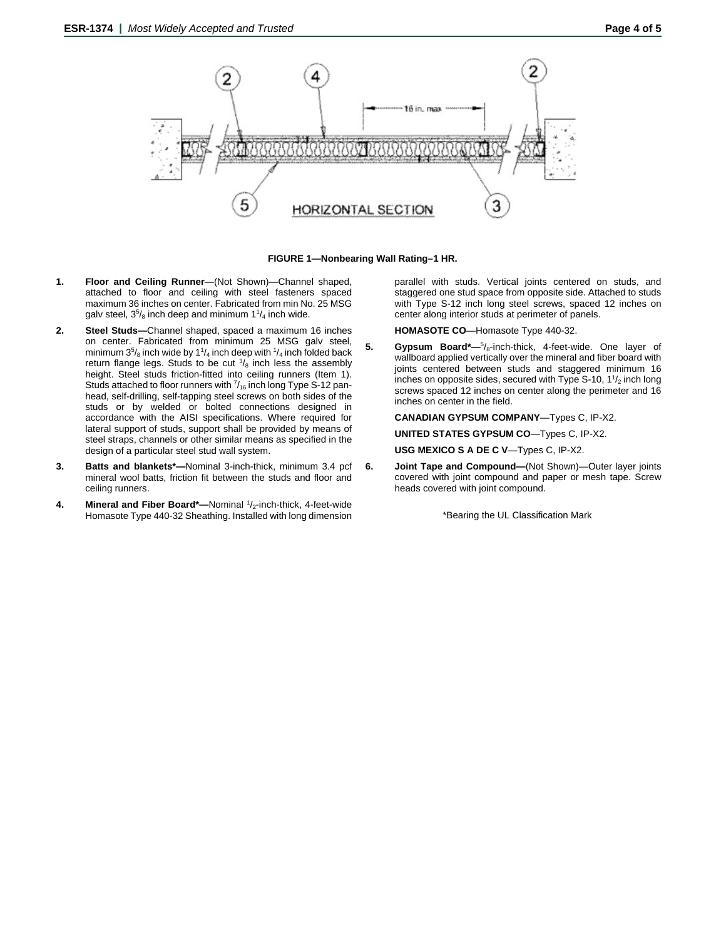

**FIGURE 1—Nonbearing Wall Rating–1 HR.**

- **1. Floor and Ceiling Runner**—(Not Shown)—Channel shaped, attached to floor and ceiling with steel fasteners spaced maximum 36 inches on center. Fabricated from min No. 25 MSG galv steel,  $3^{5}/_8$  inch deep and minimum 1 $^{1}/_4$  inch wide.
- **2. Steel Studs—**Channel shaped, spaced a maximum 16 inches on center. Fabricated from minimum 25 MSG galv steel, minimum  $3^5\!/_8$  inch wide by 1 $^1\!/_4$  inch deep with  $^1\!/_4$  inch folded back return flange legs. Studs to be cut  $\frac{3}{8}$  inch less the assembly height. Steel studs friction-fitted into ceiling runners (Item 1). Studs attached to floor runners with  $\frac{7}{16}$  inch long Type S-12 panhead, self-drilling, self-tapping steel screws on both sides of the studs or by welded or bolted connections designed in accordance with the AISI specifications. Where required for lateral support of studs, support shall be provided by means of steel straps, channels or other similar means as specified in the design of a particular steel stud wall system.
- **3. Batts and blankets\*—**Nominal 3-inch-thick, minimum 3.4 pcf mineral wool batts, friction fit between the studs and floor and ceiling runners.
- 4. **Mineral and Fiber Board\***—Nominal <sup>1</sup>/<sub>2</sub>-inch-thick, 4-feet-wide Homasote Type 440-32 Sheathing. Installed with long dimension

parallel with studs. Vertical joints centered on studs, and staggered one stud space from opposite side. Attached to studs with Type S-12 inch long steel screws, spaced 12 inches on center along interior studs at perimeter of panels.

**HOMASOTE CO**—Homasote Type 440-32.

**5. Gypsum Board\*—**<sup>5</sup> /8-inch-thick, 4-feet-wide. One layer of wallboard applied vertically over the mineral and fiber board with joints centered between studs and staggered minimum 16 inches on opposite sides, secured with Type S-10, 1 $\frac{1}{2}$  inch long screws spaced 12 inches on center along the perimeter and 16 inches on center in the field.

**CANADIAN GYPSUM COMPANY**—Types C, IP-X2.

**UNITED STATES GYPSUM CO**—Types C, IP-X2.

**USG MEXICO S A DE C V**—Types C, IP-X2.

**6. Joint Tape and Compound—**(Not Shown)—Outer layer joints covered with joint compound and paper or mesh tape. Screw heads covered with joint compound.

\*Bearing the UL Classification Mark